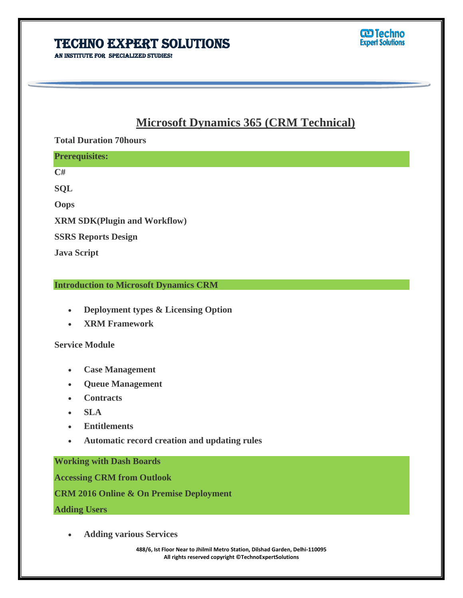AN INSTITUTE FOR SPECIALIZED STUDIES!

## **Microsoft Dynamics 365 (CRM Technical)**

I

## **Total Duration 70hours**

| <b>Prerequisites:</b>               |  |
|-------------------------------------|--|
| C#                                  |  |
| <b>SQL</b>                          |  |
| <b>Oops</b>                         |  |
| <b>XRM SDK(Plugin and Workflow)</b> |  |
| <b>SSRS Reports Design</b>          |  |
| <b>Java Script</b>                  |  |

## **Introduction to Microsoft Dynamics CRM**

- **Deployment types & Licensing Option**
- **XRM Framework**

## **Service Module**

- **Case Management**
- **Queue Management**
- **Contracts**
- **SLA**
- **Entitlements**
- **Automatic record creation and updating rules**

**Working with Dash Boards**

**Accessing CRM from Outlook**

**CRM 2016 Online & On Premise Deployment**

**Adding Users**

**Adding various Services**

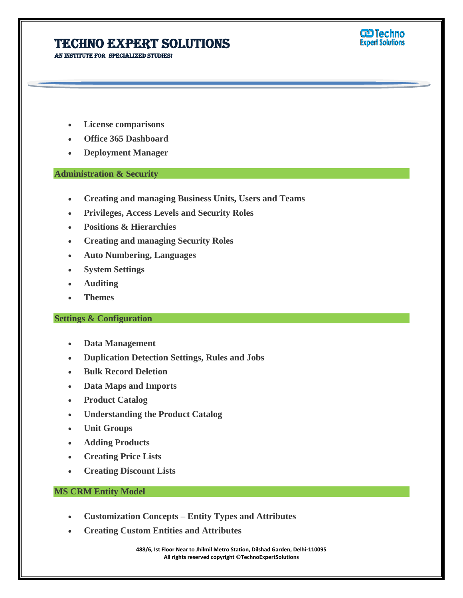AN INSTITUTE FOR SPECIALIZED STUDIES!



- **License comparisons**
- **Office 365 Dashboard**
- **Deployment Manager**

#### **Administration & Security**

**Creating and managing Business Units, Users and Teams**

I

- **Privileges, Access Levels and Security Roles**
- **Positions & Hierarchies**
- **Creating and managing Security Roles**
- **Auto Numbering, Languages**
- **System Settings**
- **Auditing**
- **Themes**

#### **Settings & Configuration**

- **Data Management**
- **Duplication Detection Settings, Rules and Jobs**
- **Bulk Record Deletion**
- **Data Maps and Imports**
- **Product Catalog**
- **Understanding the Product Catalog**
- **Unit Groups**
- **Adding Products**
- **Creating Price Lists**
- **Creating Discount Lists**

### **MS CRM Entity Model**

- **Customization Concepts – Entity Types and Attributes**
- **Creating Custom Entities and Attributes**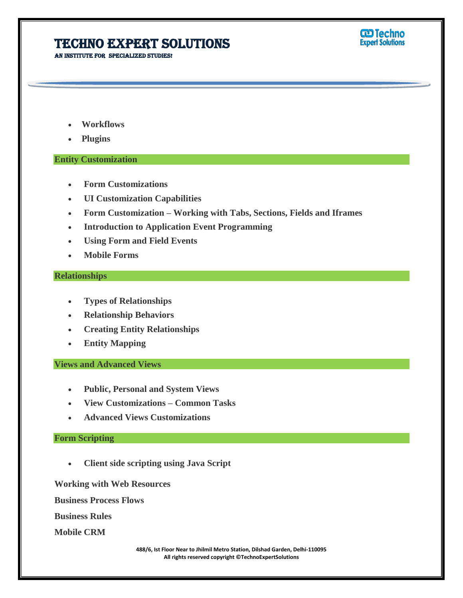AN INSTITUTE FOR SPECIALIZED STUDIES!



- **Workflows**
- **Plugins**

#### **Entity Customization**

- **Form Customizations**
- **UI Customization Capabilities**
- **Form Customization – Working with Tabs, Sections, Fields and Iframes**

I

- **Introduction to Application Event Programming**
- **Using Form and Field Events**
- **Mobile Forms**

#### **Relationships**

- **Types of Relationships**
- **Relationship Behaviors**
- **Creating Entity Relationships**
- **Entity Mapping**

### **Views and Advanced Views**

- **Public, Personal and System Views**
- **View Customizations – Common Tasks**
- **Advanced Views Customizations**

#### **Form Scripting**

**Client side scripting using Java Script**

**Working with Web Resources**

**Business Process Flows**

**Business Rules**

**Mobile CRM**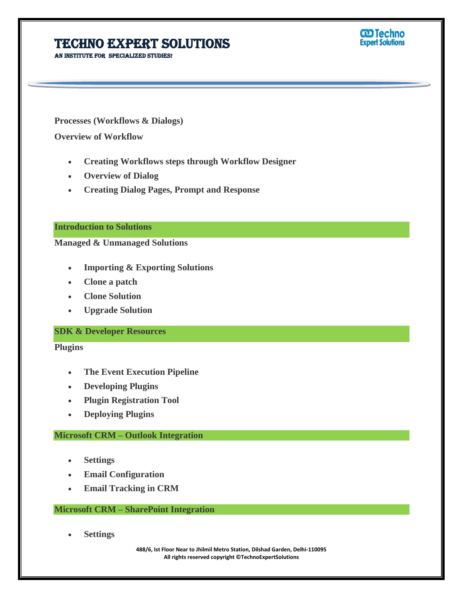AN INSTITUTE FOR SPECIALIZED STUDIES!



**Processes (Workflows & Dialogs)**

**Overview of Workflow**

**Creating Workflows steps through Workflow Designer**

I

- **Overview of Dialog**
- **Creating Dialog Pages, Prompt and Response**

## **Introduction to Solutions**

**Managed & Unmanaged Solutions**

- **Importing & Exporting Solutions**
- **Clone a patch**
- **Clone Solution**
- **Upgrade Solution**

#### **SDK & Developer Resources**

**Plugins**

- **The Event Execution Pipeline**
- **Developing Plugins**
- **Plugin Registration Tool**
- **Deploying Plugins**

#### **Microsoft CRM – Outlook Integration**

- **Settings**
- **Email Configuration**
- **Email Tracking in CRM**

#### **Microsoft CRM – SharePoint Integration**

**Settings**